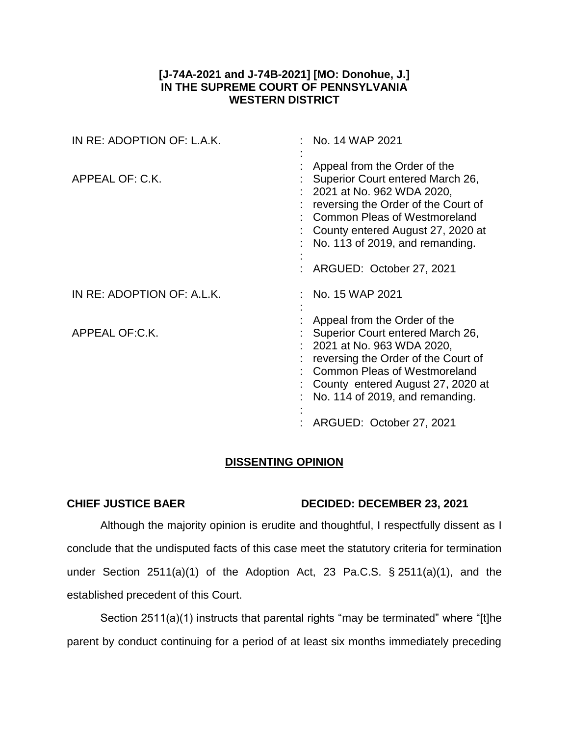# **[J-74A-2021 and J-74B-2021] [MO: Donohue, J.] IN THE SUPREME COURT OF PENNSYLVANIA WESTERN DISTRICT**

| IN RE: ADOPTION OF: L.A.K. | No. 14 WAP 2021                                                                                                                                                                                                                                         |
|----------------------------|---------------------------------------------------------------------------------------------------------------------------------------------------------------------------------------------------------------------------------------------------------|
| APPEAL OF: C.K.            | Appeal from the Order of the<br>Superior Court entered March 26,<br>$: 2021$ at No. 962 WDA 2020,<br>reversing the Order of the Court of<br><b>Common Pleas of Westmoreland</b><br>County entered August 27, 2020 at<br>No. 113 of 2019, and remanding. |
|                            | ARGUED: October 27, 2021                                                                                                                                                                                                                                |
| IN RE: ADOPTION OF: A.L.K. | No. 15 WAP 2021                                                                                                                                                                                                                                         |
| APPEAL OF:C.K.             | Appeal from the Order of the<br>Superior Court entered March 26,<br>2021 at No. 963 WDA 2020,<br>reversing the Order of the Court of<br><b>Common Pleas of Westmoreland</b><br>County entered August 27, 2020 at<br>No. 114 of 2019, and remanding.     |
|                            | ARGUED: October 27, 2021                                                                                                                                                                                                                                |

# **DISSENTING OPINION**

# **CHIEF JUSTICE BAER DECIDED: DECEMBER 23, 2021**

Although the majority opinion is erudite and thoughtful, I respectfully dissent as I conclude that the undisputed facts of this case meet the statutory criteria for termination under Section 2511(a)(1) of the Adoption Act, 23 Pa.C.S. § 2511(a)(1), and the established precedent of this Court.

Section 2511(a)(1) instructs that parental rights "may be terminated" where "[t]he parent by conduct continuing for a period of at least six months immediately preceding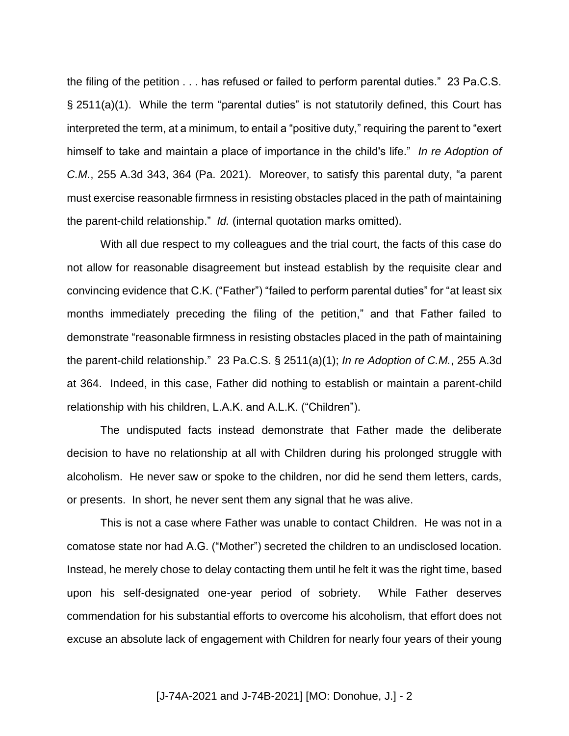the filing of the petition . . . has refused or failed to perform parental duties." 23 Pa.C.S. § 2511(a)(1). While the term "parental duties" is not statutorily defined, this Court has interpreted the term, at a minimum, to entail a "positive duty," requiring the parent to "exert himself to take and maintain a place of importance in the child's life." *In re Adoption of C.M.*, 255 A.3d 343, 364 (Pa. 2021). Moreover, to satisfy this parental duty, "a parent must exercise reasonable firmness in resisting obstacles placed in the path of maintaining the parent-child relationship." *Id.* (internal quotation marks omitted).

With all due respect to my colleagues and the trial court, the facts of this case do not allow for reasonable disagreement but instead establish by the requisite clear and convincing evidence that C.K. ("Father") "failed to perform parental duties" for "at least six months immediately preceding the filing of the petition," and that Father failed to demonstrate "reasonable firmness in resisting obstacles placed in the path of maintaining the parent-child relationship." 23 Pa.C.S. § 2511(a)(1); *In re Adoption of C.M.*, 255 A.3d at 364. Indeed, in this case, Father did nothing to establish or maintain a parent-child relationship with his children, L.A.K. and A.L.K. ("Children").

The undisputed facts instead demonstrate that Father made the deliberate decision to have no relationship at all with Children during his prolonged struggle with alcoholism. He never saw or spoke to the children, nor did he send them letters, cards, or presents. In short, he never sent them any signal that he was alive.

This is not a case where Father was unable to contact Children. He was not in a comatose state nor had A.G. ("Mother") secreted the children to an undisclosed location. Instead, he merely chose to delay contacting them until he felt it was the right time, based upon his self-designated one-year period of sobriety. While Father deserves commendation for his substantial efforts to overcome his alcoholism, that effort does not excuse an absolute lack of engagement with Children for nearly four years of their young

# [J-74A-2021 and J-74B-2021] [MO: Donohue, J.] - 2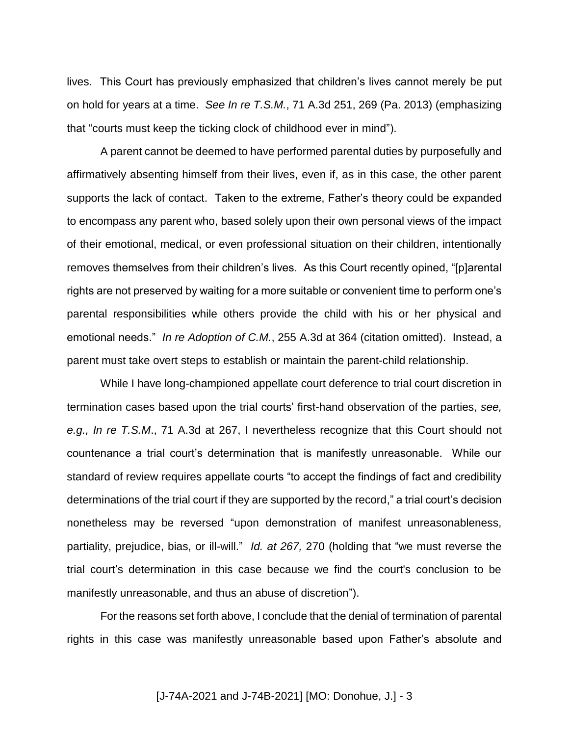lives. This Court has previously emphasized that children's lives cannot merely be put on hold for years at a time. *See In re T.S.M.*, 71 A.3d 251, 269 (Pa. 2013) (emphasizing that "courts must keep the ticking clock of childhood ever in mind").

A parent cannot be deemed to have performed parental duties by purposefully and affirmatively absenting himself from their lives, even if, as in this case, the other parent supports the lack of contact. Taken to the extreme, Father's theory could be expanded to encompass any parent who, based solely upon their own personal views of the impact of their emotional, medical, or even professional situation on their children, intentionally removes themselves from their children's lives. As this Court recently opined, "[p]arental rights are not preserved by waiting for a more suitable or convenient time to perform one's parental responsibilities while others provide the child with his or her physical and emotional needs." *In re Adoption of C.M.*, 255 A.3d at 364 (citation omitted). Instead, a parent must take overt steps to establish or maintain the parent-child relationship.

While I have long-championed appellate court deference to trial court discretion in termination cases based upon the trial courts' first-hand observation of the parties, *see, e.g., In re T.S.M*., 71 A.3d at 267, I nevertheless recognize that this Court should not countenance a trial court's determination that is manifestly unreasonable. While our standard of review requires appellate courts "to accept the findings of fact and credibility determinations of the trial court if they are supported by the record," a trial court's decision nonetheless may be reversed "upon demonstration of manifest unreasonableness, partiality, prejudice, bias, or ill-will." *Id. at 267,* 270 (holding that "we must reverse the trial court's determination in this case because we find the court's conclusion to be manifestly unreasonable, and thus an abuse of discretion").

For the reasons set forth above, I conclude that the denial of termination of parental rights in this case was manifestly unreasonable based upon Father's absolute and